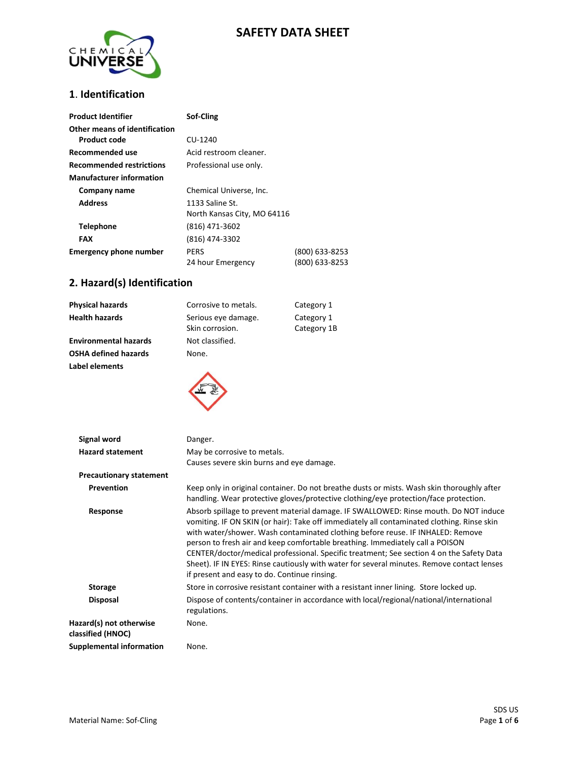# **SAFETY DATA SHEET**



### **1**. **Identification**

| <b>Product Identifier</b>                     | Sof-Cling                                      |                                  |
|-----------------------------------------------|------------------------------------------------|----------------------------------|
| Other means of identification<br>Product code | CU-1240                                        |                                  |
| Recommended use                               | Acid restroom cleaner.                         |                                  |
| <b>Recommended restrictions</b>               | Professional use only.                         |                                  |
| <b>Manufacturer information</b>               |                                                |                                  |
| Company name                                  | Chemical Universe, Inc.                        |                                  |
| <b>Address</b>                                | 1133 Saline St.<br>North Kansas City, MO 64116 |                                  |
| <b>Telephone</b>                              | (816) 471-3602                                 |                                  |
| FAX                                           | (816) 474-3302                                 |                                  |
| <b>Emergency phone number</b>                 | <b>PERS</b><br>24 hour Emergency               | (800) 633-8253<br>(800) 633-8253 |

# **2. Hazard(s) Identification**

| Physical hazards             | Corrosive to metals.                   | Category 1                |
|------------------------------|----------------------------------------|---------------------------|
| Health hazards               | Serious eye damage.<br>Skin corrosion. | Category 1<br>Category 1B |
| <b>Environmental hazards</b> | Not classified.                        |                           |
| OSHA defined hazards         | None.                                  |                           |
| Label elements               |                                        |                           |



| Signal word                                  | Danger.                                                                                                                                                                                                                                                                                                                                                                                                                                                                                                                                                                                         |
|----------------------------------------------|-------------------------------------------------------------------------------------------------------------------------------------------------------------------------------------------------------------------------------------------------------------------------------------------------------------------------------------------------------------------------------------------------------------------------------------------------------------------------------------------------------------------------------------------------------------------------------------------------|
| <b>Hazard statement</b>                      | May be corrosive to metals.<br>Causes severe skin burns and eye damage.                                                                                                                                                                                                                                                                                                                                                                                                                                                                                                                         |
| <b>Precautionary statement</b>               |                                                                                                                                                                                                                                                                                                                                                                                                                                                                                                                                                                                                 |
| Prevention                                   | Keep only in original container. Do not breathe dusts or mists. Wash skin thoroughly after<br>handling. Wear protective gloves/protective clothing/eye protection/face protection.                                                                                                                                                                                                                                                                                                                                                                                                              |
| Response                                     | Absorb spillage to prevent material damage. IF SWALLOWED: Rinse mouth. Do NOT induce<br>vomiting. IF ON SKIN (or hair): Take off immediately all contaminated clothing. Rinse skin<br>with water/shower. Wash contaminated clothing before reuse. IF INHALED: Remove<br>person to fresh air and keep comfortable breathing. Immediately call a POISON<br>CENTER/doctor/medical professional. Specific treatment; See section 4 on the Safety Data<br>Sheet). IF IN EYES: Rinse cautiously with water for several minutes. Remove contact lenses<br>if present and easy to do. Continue rinsing. |
| <b>Storage</b>                               | Store in corrosive resistant container with a resistant inner lining. Store locked up.                                                                                                                                                                                                                                                                                                                                                                                                                                                                                                          |
| <b>Disposal</b>                              | Dispose of contents/container in accordance with local/regional/national/international<br>regulations.                                                                                                                                                                                                                                                                                                                                                                                                                                                                                          |
| Hazard(s) not otherwise<br>classified (HNOC) | None.                                                                                                                                                                                                                                                                                                                                                                                                                                                                                                                                                                                           |
| <b>Supplemental information</b>              | None.                                                                                                                                                                                                                                                                                                                                                                                                                                                                                                                                                                                           |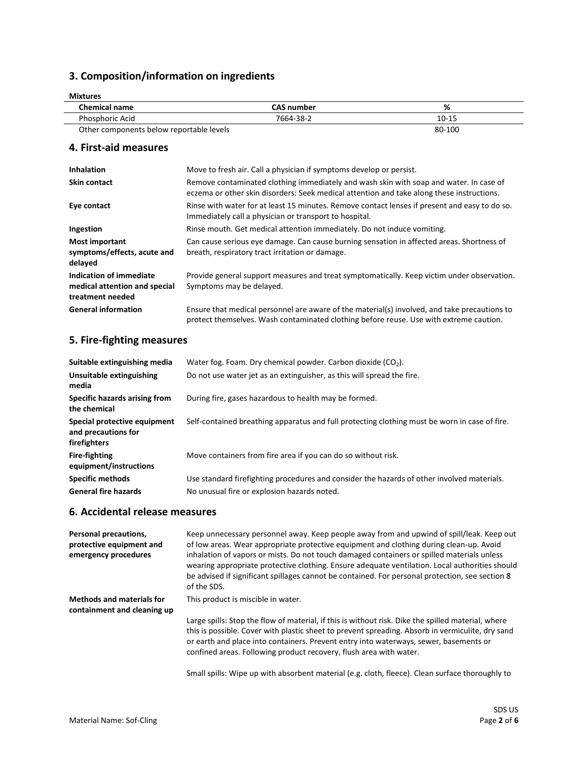## **3. Composition/information on ingredients**

| <b>Mixtures</b>                          |                   |           |  |
|------------------------------------------|-------------------|-----------|--|
| <b>Chemical name</b>                     | <b>CAS number</b> | %         |  |
| <b>Phosphoric Acid</b>                   | 7664-38-2         | $10 - 15$ |  |
| Other components below reportable levels |                   | 80-100    |  |

### **4. First-aid measures**

| <b>Inhalation</b>                                                            | Move to fresh air. Call a physician if symptoms develop or persist.                                                                                                                    |
|------------------------------------------------------------------------------|----------------------------------------------------------------------------------------------------------------------------------------------------------------------------------------|
| <b>Skin contact</b>                                                          | Remove contaminated clothing immediately and wash skin with soap and water. In case of<br>eczema or other skin disorders: Seek medical attention and take along these instructions.    |
| Eye contact                                                                  | Rinse with water for at least 15 minutes. Remove contact lenses if present and easy to do so.<br>Immediately call a physician or transport to hospital.                                |
| Ingestion                                                                    | Rinse mouth. Get medical attention immediately. Do not induce vomiting.                                                                                                                |
| Most important<br>symptoms/effects, acute and<br>delayed                     | Can cause serious eye damage. Can cause burning sensation in affected areas. Shortness of<br>breath, respiratory tract irritation or damage.                                           |
| Indication of immediate<br>medical attention and special<br>treatment needed | Provide general support measures and treat symptomatically. Keep victim under observation.<br>Symptoms may be delayed.                                                                 |
| <b>General information</b>                                                   | Ensure that medical personnel are aware of the material(s) involved, and take precautions to<br>protect themselves. Wash contaminated clothing before reuse. Use with extreme caution. |

### **5. Fire-fighting measures**

| Suitable extinguishing media                                        | Water fog. Foam. Dry chemical powder. Carbon dioxide $(CO2)$ .                                                                            |
|---------------------------------------------------------------------|-------------------------------------------------------------------------------------------------------------------------------------------|
| Unsuitable extinguishing<br>media                                   | Do not use water jet as an extinguisher, as this will spread the fire.                                                                    |
| Specific hazards arising from<br>the chemical                       | During fire, gases hazardous to health may be formed.                                                                                     |
| Special protective equipment<br>and precautions for<br>firefighters | Self-contained breathing apparatus and full protecting clothing must be worn in case of fire.                                             |
| <b>Fire-fighting</b><br>equipment/instructions                      | Move containers from fire area if you can do so without risk.                                                                             |
| <b>Specific methods</b><br><b>General fire hazards</b>              | Use standard firefighting procedures and consider the hazards of other involved materials.<br>No unusual fire or explosion hazards noted. |
|                                                                     |                                                                                                                                           |

### **6. Accidental release measures**

| Personal precautions,<br>protective equipment and<br>emergency procedures | Keep unnecessary personnel away. Keep people away from and upwind of spill/leak. Keep out<br>of low areas. Wear appropriate protective equipment and clothing during clean-up. Avoid<br>inhalation of vapors or mists. Do not touch damaged containers or spilled materials unless<br>wearing appropriate protective clothing. Ensure adequate ventilation. Local authorities should<br>be advised if significant spillages cannot be contained. For personal protection, see section 8<br>of the SDS. |
|---------------------------------------------------------------------------|--------------------------------------------------------------------------------------------------------------------------------------------------------------------------------------------------------------------------------------------------------------------------------------------------------------------------------------------------------------------------------------------------------------------------------------------------------------------------------------------------------|
| <b>Methods and materials for</b><br>containment and cleaning up           | This product is miscible in water.                                                                                                                                                                                                                                                                                                                                                                                                                                                                     |
|                                                                           | Large spills: Stop the flow of material, if this is without risk. Dike the spilled material, where<br>this is possible. Cover with plastic sheet to prevent spreading. Absorb in vermiculite, dry sand<br>or earth and place into containers. Prevent entry into waterways, sewer, basements or<br>confined areas. Following product recovery, flush area with water.                                                                                                                                  |
|                                                                           | Small spills: Wipe up with absorbent material (e.g. cloth, fleece). Clean surface thoroughly to                                                                                                                                                                                                                                                                                                                                                                                                        |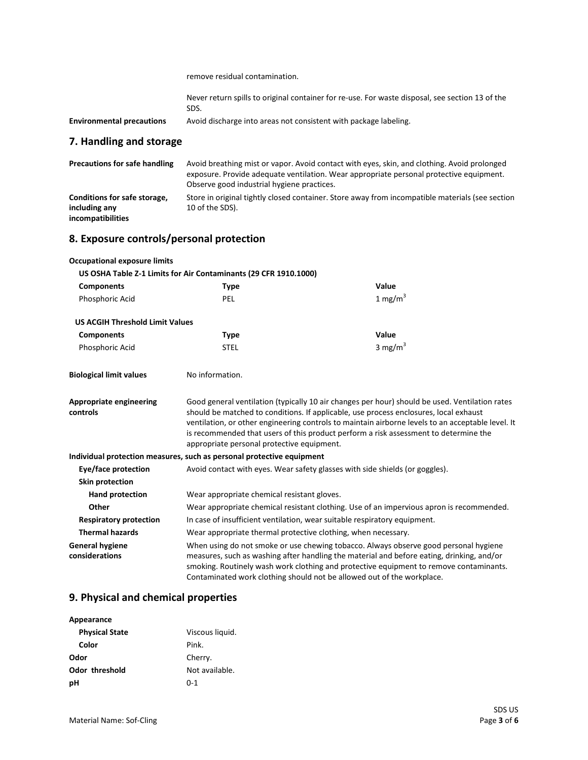remove residual contamination.

| Never return spills to original container for re-use. For waste disposal, see section 13 of the |  |  |  |
|-------------------------------------------------------------------------------------------------|--|--|--|
| SDS.                                                                                            |  |  |  |

**Environmental precautions** Avoid discharge into areas not consistent with package labeling.

## **7. Handling and storage**

| <b>Precautions for safe handling</b>          | Avoid breathing mist or vapor. Avoid contact with eyes, skin, and clothing. Avoid prolonged<br>exposure. Provide adequate ventilation. Wear appropriate personal protective equipment.<br>Observe good industrial hygiene practices. |
|-----------------------------------------------|--------------------------------------------------------------------------------------------------------------------------------------------------------------------------------------------------------------------------------------|
| Conditions for safe storage,<br>including any | Store in original tightly closed container. Store away from incompatible materials (see section<br>10 of the SDS).                                                                                                                   |
| incompatibilities                             |                                                                                                                                                                                                                                      |

## **8. Exposure controls/personal protection**

| <b>Occupational exposure limits</b>        |                                                                                                                                                                                                                                                                                                                                                                                                                                    |            |  |
|--------------------------------------------|------------------------------------------------------------------------------------------------------------------------------------------------------------------------------------------------------------------------------------------------------------------------------------------------------------------------------------------------------------------------------------------------------------------------------------|------------|--|
|                                            | US OSHA Table Z-1 Limits for Air Contaminants (29 CFR 1910.1000)                                                                                                                                                                                                                                                                                                                                                                   |            |  |
| <b>Components</b>                          | <b>Type</b>                                                                                                                                                                                                                                                                                                                                                                                                                        | Value      |  |
| Phosphoric Acid                            | PEL                                                                                                                                                                                                                                                                                                                                                                                                                                | 1 mg/m $3$ |  |
| <b>US ACGIH Threshold Limit Values</b>     |                                                                                                                                                                                                                                                                                                                                                                                                                                    |            |  |
| <b>Components</b>                          | <b>Type</b>                                                                                                                                                                                                                                                                                                                                                                                                                        | Value      |  |
| Phosphoric Acid                            | <b>STEL</b>                                                                                                                                                                                                                                                                                                                                                                                                                        | 3 mg/m $3$ |  |
| <b>Biological limit values</b>             | No information.                                                                                                                                                                                                                                                                                                                                                                                                                    |            |  |
| <b>Appropriate engineering</b><br>controls | Good general ventilation (typically 10 air changes per hour) should be used. Ventilation rates<br>should be matched to conditions. If applicable, use process enclosures, local exhaust<br>ventilation, or other engineering controls to maintain airborne levels to an acceptable level. It<br>is recommended that users of this product perform a risk assessment to determine the<br>appropriate personal protective equipment. |            |  |
|                                            | Individual protection measures, such as personal protective equipment                                                                                                                                                                                                                                                                                                                                                              |            |  |
| <b>Eye/face protection</b>                 | Avoid contact with eyes. Wear safety glasses with side shields (or goggles).                                                                                                                                                                                                                                                                                                                                                       |            |  |
| Skin protection                            |                                                                                                                                                                                                                                                                                                                                                                                                                                    |            |  |
| <b>Hand protection</b>                     | Wear appropriate chemical resistant gloves.                                                                                                                                                                                                                                                                                                                                                                                        |            |  |
| Other                                      | Wear appropriate chemical resistant clothing. Use of an impervious apron is recommended.                                                                                                                                                                                                                                                                                                                                           |            |  |
| <b>Respiratory protection</b>              | In case of insufficient ventilation, wear suitable respiratory equipment.                                                                                                                                                                                                                                                                                                                                                          |            |  |
| <b>Thermal hazards</b>                     | Wear appropriate thermal protective clothing, when necessary.                                                                                                                                                                                                                                                                                                                                                                      |            |  |
| <b>General hygiene</b><br>considerations   | When using do not smoke or use chewing tobacco. Always observe good personal hygiene<br>measures, such as washing after handling the material and before eating, drinking, and/or<br>smoking. Routinely wash work clothing and protective equipment to remove contaminants.<br>Contaminated work clothing should not be allowed out of the workplace.                                                                              |            |  |

### **9. Physical and chemical properties**

| Appearance            |                 |
|-----------------------|-----------------|
| <b>Physical State</b> | Viscous liguid. |
| Color                 | Pink.           |
| Odor                  | Cherry.         |
| Odor threshold        | Not available.  |
| рH                    | በ-1             |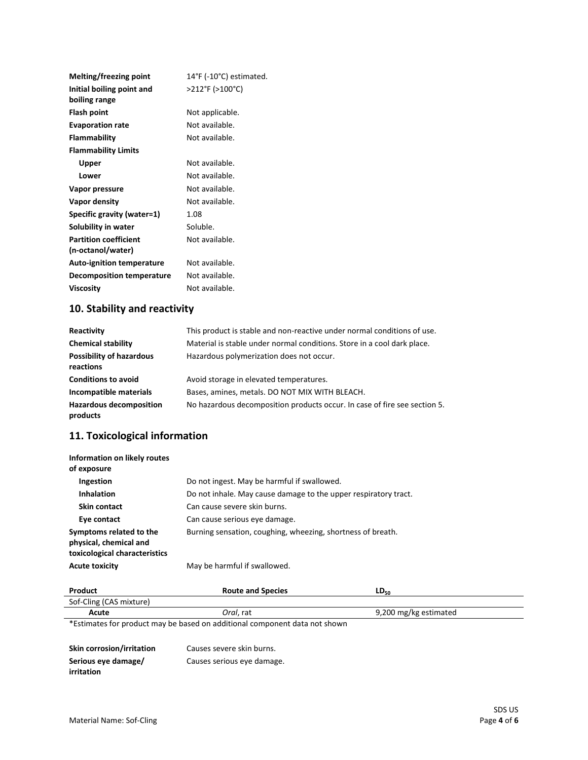| Melting/freezing point                            | 14°F (-10°C) estimated. |
|---------------------------------------------------|-------------------------|
| Initial boiling point and<br>boiling range        | >212°F (>100°C)         |
| Flash point                                       | Not applicable.         |
| <b>Evaporation rate</b>                           | Not available.          |
| <b>Flammability</b>                               | Not available.          |
| <b>Flammability Limits</b>                        |                         |
| Upper                                             | Not available.          |
| Lower                                             | Not available.          |
| Vapor pressure                                    | Not available.          |
| Vapor density                                     | Not available.          |
| Specific gravity (water=1)                        | 1.08                    |
| Solubility in water                               | Soluble.                |
| <b>Partition coefficient</b><br>(n-octanol/water) | Not available.          |
| <b>Auto-ignition temperature</b>                  | Not available.          |
| Decomposition temperature                         | Not available.          |
| Viscosity                                         | Not available.          |
|                                                   |                         |

# **10. Stability and reactivity**

| Reactivity                                   | This product is stable and non-reactive under normal conditions of use.   |
|----------------------------------------------|---------------------------------------------------------------------------|
| <b>Chemical stability</b>                    | Material is stable under normal conditions. Store in a cool dark place.   |
| <b>Possibility of hazardous</b><br>reactions | Hazardous polymerization does not occur.                                  |
| <b>Conditions to avoid</b>                   | Avoid storage in elevated temperatures.                                   |
| Incompatible materials                       | Bases, amines, metals. DO NOT MIX WITH BLEACH.                            |
| <b>Hazardous decomposition</b><br>products   | No hazardous decomposition products occur. In case of fire see section 5. |

# **11. Toxicological information**

| Information on likely routes<br>of exposure                                        |                                                                 |
|------------------------------------------------------------------------------------|-----------------------------------------------------------------|
| Ingestion                                                                          | Do not ingest. May be harmful if swallowed.                     |
| <b>Inhalation</b>                                                                  | Do not inhale. May cause damage to the upper respiratory tract. |
| Skin contact                                                                       | Can cause severe skin burns.                                    |
| Eye contact                                                                        | Can cause serious eye damage.                                   |
| Symptoms related to the<br>physical, chemical and<br>toxicological characteristics | Burning sensation, coughing, wheezing, shortness of breath.     |
| <b>Acute toxicity</b>                                                              | May be harmful if swallowed.                                    |

| Product                 | <b>Route and Species</b> | $LD_{50}$             |
|-------------------------|--------------------------|-----------------------|
| Sof-Cling (CAS mixture) |                          |                       |
| Acute                   | <i>Oral</i> . rat        | 9,200 mg/kg estimated |

\*Estimates for product may be based on additional component data not shown

| <b>Skin corrosion/irritation</b> | Causes severe skin burns.  |
|----------------------------------|----------------------------|
| Serious eye damage/              | Causes serious eye damage. |
| irritation                       |                            |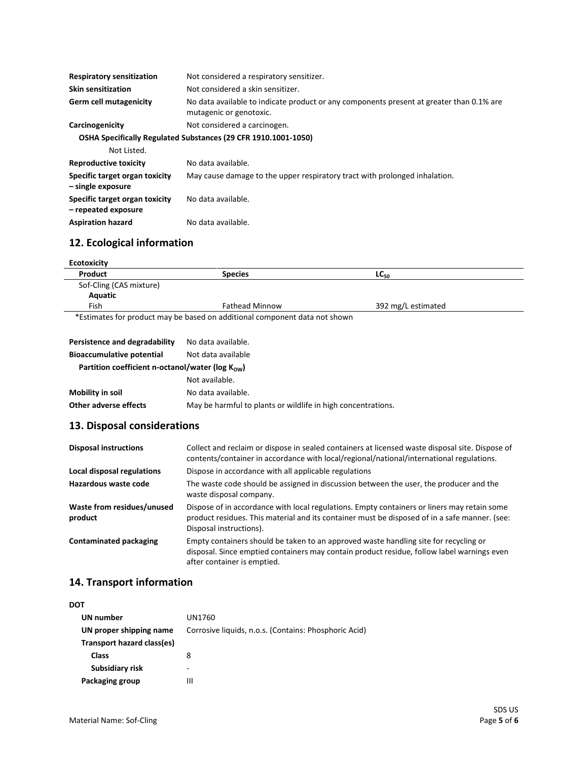| <b>Respiratory sensitization</b>                      | Not considered a respiratory sensitizer.                                                                            |
|-------------------------------------------------------|---------------------------------------------------------------------------------------------------------------------|
| <b>Skin sensitization</b>                             | Not considered a skin sensitizer.                                                                                   |
| Germ cell mutagenicity                                | No data available to indicate product or any components present at greater than 0.1% are<br>mutagenic or genotoxic. |
| Carcinogenicity                                       | Not considered a carcinogen.                                                                                        |
|                                                       | OSHA Specifically Regulated Substances (29 CFR 1910.1001-1050)                                                      |
| Not Listed.                                           |                                                                                                                     |
| <b>Reproductive toxicity</b>                          | No data available.                                                                                                  |
| Specific target organ toxicity<br>- single exposure   | May cause damage to the upper respiratory tract with prolonged inhalation.                                          |
| Specific target organ toxicity<br>- repeated exposure | No data available.                                                                                                  |
| <b>Aspiration hazard</b>                              | No data available.                                                                                                  |

## **12. Ecological information**

| Product                                                       | <b>Species</b>                                                             | $LC_{50}$          |
|---------------------------------------------------------------|----------------------------------------------------------------------------|--------------------|
| Sof-Cling (CAS mixture)                                       |                                                                            |                    |
| Aquatic                                                       |                                                                            |                    |
| Fish                                                          | <b>Fathead Minnow</b>                                                      | 392 mg/L estimated |
|                                                               | *Estimates for product may be based on additional component data not shown |                    |
| Persistence and degradability                                 | No data available.                                                         |                    |
| <b>Bioaccumulative potential</b>                              | Not data available                                                         |                    |
| Partition coefficient n-octanol/water ( $log K_{\text{ow}}$ ) |                                                                            |                    |
|                                                               | Not available.                                                             |                    |
| <b>Mobility in soil</b>                                       | No data available.                                                         |                    |
|                                                               | May be harmful to plants or wildlife in high concentrations.               |                    |

#### **13. Disposal considerations**

| <b>Disposal instructions</b>          | Collect and reclaim or dispose in sealed containers at licensed waste disposal site. Dispose of<br>contents/container in accordance with local/regional/national/international regulations.                             |
|---------------------------------------|-------------------------------------------------------------------------------------------------------------------------------------------------------------------------------------------------------------------------|
| Local disposal regulations            | Dispose in accordance with all applicable regulations                                                                                                                                                                   |
| Hazardous waste code                  | The waste code should be assigned in discussion between the user, the producer and the<br>waste disposal company.                                                                                                       |
| Waste from residues/unused<br>product | Dispose of in accordance with local regulations. Empty containers or liners may retain some<br>product residues. This material and its container must be disposed of in a safe manner. (see:<br>Disposal instructions). |
| <b>Contaminated packaging</b>         | Empty containers should be taken to an approved waste handling site for recycling or<br>disposal. Since emptied containers may contain product residue, follow label warnings even<br>after container is emptied.       |

## **14. Transport information**

| DOT<br>UN number<br>UN1760<br>UN proper shipping name<br>Transport hazard class(es)<br>Class<br>8<br>Subsidiary risk<br>-<br>Packaging group<br>Ш |                                                       |
|---------------------------------------------------------------------------------------------------------------------------------------------------|-------------------------------------------------------|
|                                                                                                                                                   |                                                       |
|                                                                                                                                                   |                                                       |
|                                                                                                                                                   | Corrosive liquids, n.o.s. (Contains: Phosphoric Acid) |
|                                                                                                                                                   |                                                       |
|                                                                                                                                                   |                                                       |
|                                                                                                                                                   |                                                       |
|                                                                                                                                                   |                                                       |